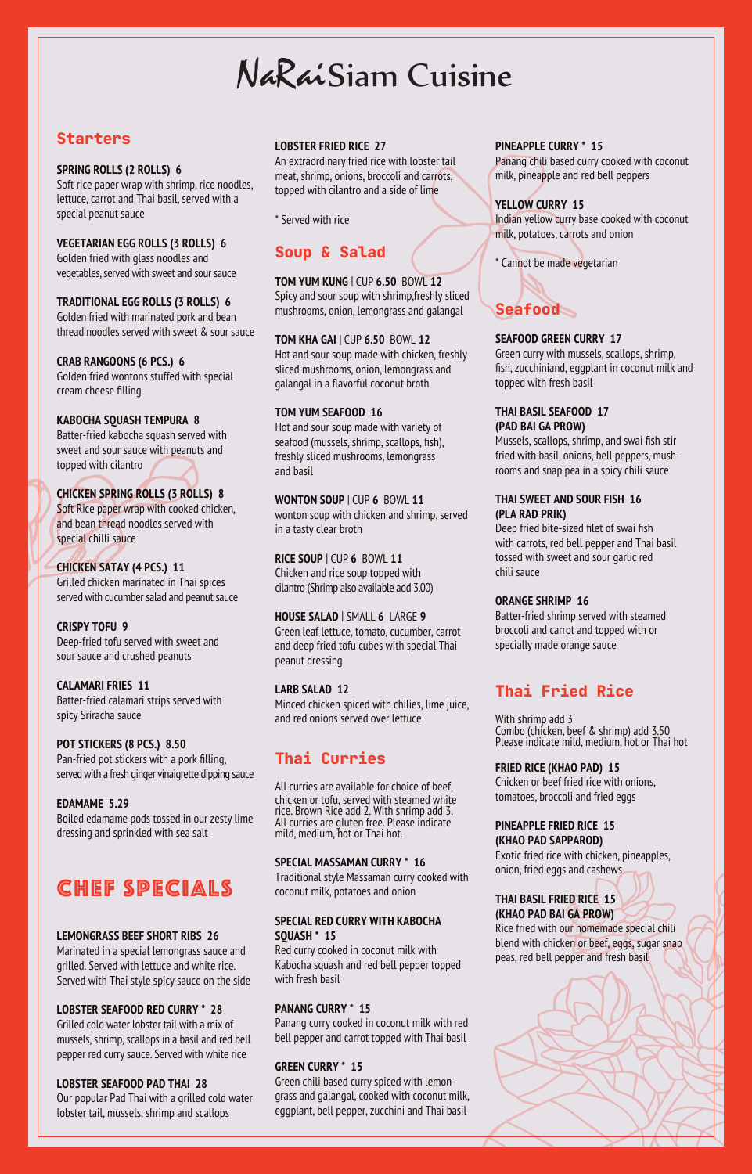# NaRaiSiam Cuisine

## **Starters**

### **SPRING ROLLS (2 ROLLS) 6**

Soft rice paper wrap with shrimp, rice noodles, lettuce, carrot and Thai basil, served with a special peanut sauce

**VEGETARIAN EGG ROLLS (3 ROLLS) 6** Golden fried with glass noodles and vegetables, served with sweet and sour sauce

**TRADITIONAL EGG ROLLS (3 ROLLS) 6**

Golden fried with marinated pork and bean thread noodles served with sweet & sour sauce

**CRAB RANGOONS (6 PCS.) 6** Golden fried wontons stuffed with special cream cheese filling

### **KABOCHA SQUASH TEMPURA 8**

Batter-fried kabocha squash served with sweet and sour sauce with peanuts and topped with cilantro

### **CHICKEN SPRING ROLLS (3 ROLLS) 8** Soft Rice paper wrap with cooked chicken, and bean thread noodles served with special chilli sauce

**CHICKEN SATAY (4 PCS.) 11** Grilled chicken marinated in Thai spices served with cucumber salad and peanut sauce

**CRISPY TOFU 9** Deep-fried tofu served with sweet and sour sauce and crushed peanuts

### **CALAMARI FRIES 11**

Batter-fried calamari strips served with spicy Sriracha sauce

**POT STICKERS (8 PCS.) 8.50** Pan-fried pot stickers with a pork filling, served with a fresh ginger vinaigrette dipping sauce

### **EDAMAME 5.29**

Boiled edamame pods tossed in our zesty lime dressing and sprinkled with sea salt

## CHEF SPECIALS

### **LEMONGRASS BEEF SHORT RIBS 26**

Marinated in a special lemongrass sauce and grilled. Served with lettuce and white rice. Served with Thai style spicy sauce on the side

### **LOBSTER SEAFOOD RED CURRY \* 28**

Grilled cold water lobster tail with a mix of mussels, shrimp, scallops in a basil and red bell pepper red curry sauce. Served with white rice

### **LOBSTER SEAFOOD PAD THAI 28**

Our popular Pad Thai with a grilled cold water lobster tail, mussels, shrimp and scallops

### **LOBSTER FRIED RICE 27**

An extraordinary fried rice with lobster tail meat, shrimp, onions, broccoli and carrots, topped with cilantro and a side of lime

\* Served with rice

## Soup & Salad

**TOM YUM KUNG** | CUP **6.50** BOWL **12** Spicy and sour soup with shrimp,freshly sliced mushrooms, onion, lemongrass and galangal

## **TOM KHA GAI** | CUP **6.50** BOWL **12**

Hot and sour soup made with chicken, freshly sliced mushrooms, onion, lemongrass and galangal in a flavorful coconut broth

### **TOM YUM SEAFOOD 16**

Hot and sour soup made with variety of seafood (mussels, shrimp, scallops, fish), freshly sliced mushrooms, lemongrass and basil

**WONTON SOUP** | CUP **6** BOWL **11** wonton soup with chicken and shrimp, served in a tasty clear broth

**RICE SOUP** | CUP **6** BOWL **11** Chicken and rice soup topped with cilantro (Shrimp also available add 3.00)

**HOUSE SALAD** | SMALL **6** LARGE **9** Green leaf lettuce, tomato, cucumber, carrot and deep fried tofu cubes with special Thai peanut dressing

### **LARB SALAD 12**

Minced chicken spiced with chilies, lime juice, and red onions served over lettuce

## Thai Curries

All curries are available for choice of beef, chicken or tofu, served with steamed white rice. Brown Rice add 2. With shrimp add 3. All curries are gluten free. Please indicate mild, medium, hot or Thai hot.

### **SPECIAL MASSAMAN CURRY \* 16**

Traditional style Massaman curry cooked with coconut milk, potatoes and onion

### **SPECIAL RED CURRY WITH KABOCHA SQUASH \* 15**

Red curry cooked in coconut milk with Kabocha squash and red bell pepper topped with fresh basil

### **PANANG CURRY \* 15**

Panang curry cooked in coconut milk with red bell pepper and carrot topped with Thai basil

### **GREEN CURRY \* 15**

Green chili based curry spiced with lemongrass and galangal, cooked with coconut milk, eggplant, bell pepper, zucchini and Thai basil

### **PINEAPPLE CURRY \* 15**

Panang chili based curry cooked with coconut milk, pineapple and red bell peppers

### **YELLOW CURRY 15**

Indian yellow curry base cooked with coconut milk, potatoes, carrots and onion

\* Cannot be made vegetarian



### **SEAFOOD GREEN CURRY 17**

Green curry with mussels, scallops, shrimp, fish, zucchiniand, eggplant in coconut milk and topped with fresh basil

### **THAI BASIL SEAFOOD 17 (PAD BAI GA PROW)**

Mussels, scallops, shrimp, and swai fish stir fried with basil, onions, bell peppers, mushrooms and snap pea in a spicy chili sauce

### **THAI SWEET AND SOUR FISH 16 (PLA RAD PRIK)**

Deep fried bite-sized filet of swai fish with carrots, red bell pepper and Thai basil tossed with sweet and sour garlic red chili sauce

### **ORANGE SHRIMP 16**

Batter-fried shrimp served with steamed broccoli and carrot and topped with or specially made orange sauce

## Thai Fried Rice

With shrimp add 3 Combo (chicken, beef & shrimp) add 3.50 Please indicate mild, medium, hot or Thai hot

**FRIED RICE (KHAO PAD) 15**

Chicken or beef fried rice with onions, tomatoes, broccoli and fried eggs

#### **PINEAPPLE FRIED RICE 15 (KHAO PAD SAPPAROD)**

Exotic fried rice with chicken, pineapples, onion, fried eggs and cashews

#### **THAI BASIL FRIED RICE 15 (KHAO PAD BAI GA PROW)**

Rice fried with our homemade special chili blend with chicken or beef, eggs, sugar snap peas, red bell pepper and fresh basil